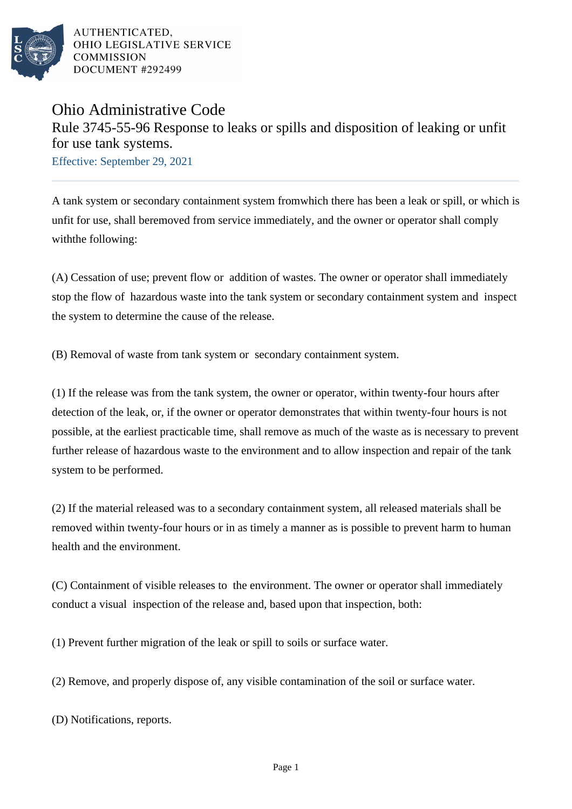

AUTHENTICATED. OHIO LEGISLATIVE SERVICE **COMMISSION** DOCUMENT #292499

## Ohio Administrative Code Rule 3745-55-96 Response to leaks or spills and disposition of leaking or unfit for use tank systems.

Effective: September 29, 2021

A tank system or secondary containment system fromwhich there has been a leak or spill, or which is unfit for use, shall beremoved from service immediately, and the owner or operator shall comply withthe following:

(A) Cessation of use; prevent flow or addition of wastes. The owner or operator shall immediately stop the flow of hazardous waste into the tank system or secondary containment system and inspect the system to determine the cause of the release.

(B) Removal of waste from tank system or secondary containment system.

(1) If the release was from the tank system, the owner or operator, within twenty-four hours after detection of the leak, or, if the owner or operator demonstrates that within twenty-four hours is not possible, at the earliest practicable time, shall remove as much of the waste as is necessary to prevent further release of hazardous waste to the environment and to allow inspection and repair of the tank system to be performed.

(2) If the material released was to a secondary containment system, all released materials shall be removed within twenty-four hours or in as timely a manner as is possible to prevent harm to human health and the environment.

(C) Containment of visible releases to the environment. The owner or operator shall immediately conduct a visual inspection of the release and, based upon that inspection, both:

(1) Prevent further migration of the leak or spill to soils or surface water.

(2) Remove, and properly dispose of, any visible contamination of the soil or surface water.

(D) Notifications, reports.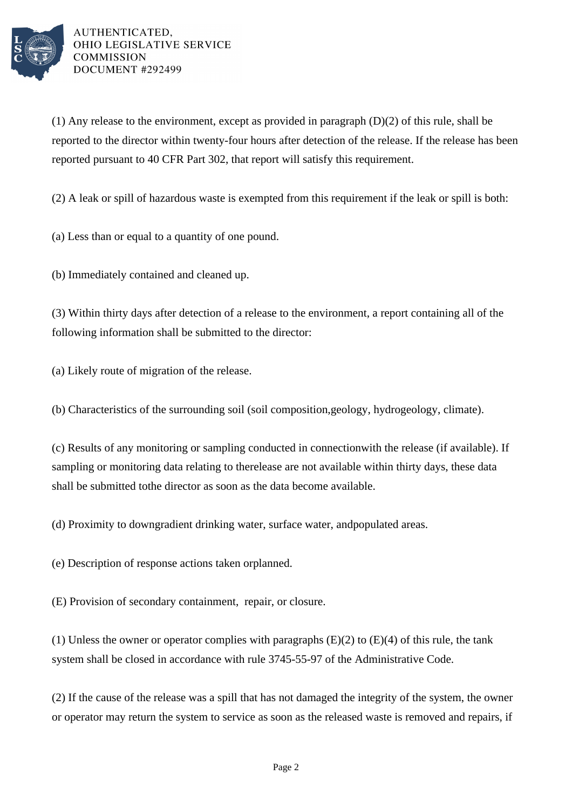

AUTHENTICATED. OHIO LEGISLATIVE SERVICE **COMMISSION** DOCUMENT #292499

(1) Any release to the environment, except as provided in paragraph  $(D)(2)$  of this rule, shall be reported to the director within twenty-four hours after detection of the release. If the release has been reported pursuant to 40 CFR Part 302, that report will satisfy this requirement.

 $(2)$  A leak or spill of hazardous waste is exempted from this requirement if the leak or spill is both:

(a) Less than or equal to a quantity of one pound.

(b) Immediately contained and cleaned up.

(3) Within thirty days after detection of a release to the environment, a report containing all of the following information shall be submitted to the director:

(a) Likely route of migration of the release.

(b) Characteristics of the surrounding soil (soil composition, geology, hydrogeology, climate).

(c) Results of any monitoring or sampling conducted in connection with the release (if available). If sampling or monitoring data relating to the release are not available within thirty days, these data shall be submitted to the director as soon as the data become available.

(d) Proximity to downgradient drinking water, surface water, and populated areas.

(e) Description of response actions taken or planned.

(E) Provision of secondary containment, repair, or closure.

(1) Unless the owner or operator complies with paragraphs  $(E)(2)$  to  $(E)(4)$  of this rule, the tank system shall be closed in accordance with rule 3745-55-97 of the Administrative Code.

(2) If the cause of the release was a spill that has not damaged the integrity of the system, the owner or operator may return the system to service as soon as the released waste is removed and repairs, if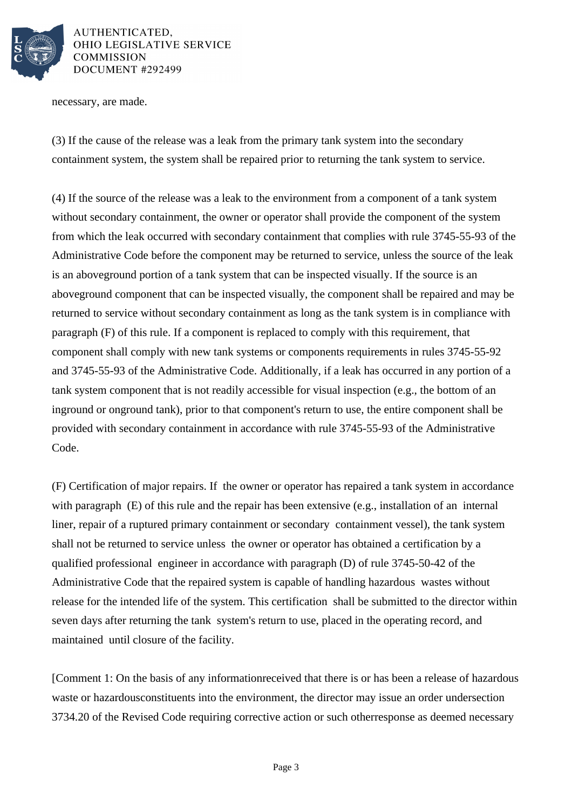

AUTHENTICATED. **OHIO LEGISLATIVE SERVICE COMMISSION** DOCUMENT #292499

necessary, are made.

(3) If the cause of the release was a leak from the primary tank system into the secondary containment system, the system shall be repaired prior to returning the tank system to service.

(4) If the source of the release was a leak to the environment from a component of a tank system without secondary containment, the owner or operator shall provide the component of the system from which the leak occurred with secondary containment that complies with rule 3745-55-93 of the Administrative Code before the component may be returned to service, unless the source of the leak is an aboveground portion of a tank system that can be inspected visually. If the source is an aboveground component that can be inspected visually, the component shall be repaired and may be returned to service without secondary containment as long as the tank system is in compliance with paragraph (F) of this rule. If a component is replaced to comply with this requirement, that component shall comply with new tank systems or components requirements in rules 3745-55-92 and 3745-55-93 of the Administrative Code. Additionally, if a leak has occurred in any portion of a tank system component that is not readily accessible for visual inspection (e.g., the bottom of an inground or onground tank), prior to that component's return to use, the entire component shall be provided with secondary containment in accordance with rule 3745-55-93 of the Administrative Code.

(F) Certification of major repairs. If the owner or operator has repaired a tank system in accordance with paragraph (E) of this rule and the repair has been extensive (e.g., installation of an internal liner, repair of a ruptured primary containment or secondary containment vessel), the tank system shall not be returned to service unless the owner or operator has obtained a certification by a qualified professional engineer in accordance with paragraph (D) of rule 3745-50-42 of the Administrative Code that the repaired system is capable of handling hazardous wastes without release for the intended life of the system. This certification shall be submitted to the director within seven days after returning the tank system's return to use, placed in the operating record, and maintained until closure of the facility.

[Comment 1: On the basis of any informationreceived that there is or has been a release of hazardous waste or hazardousconstituents into the environment, the director may issue an order undersection 3734.20 of the Revised Code requiring corrective action or such otherresponse as deemed necessary